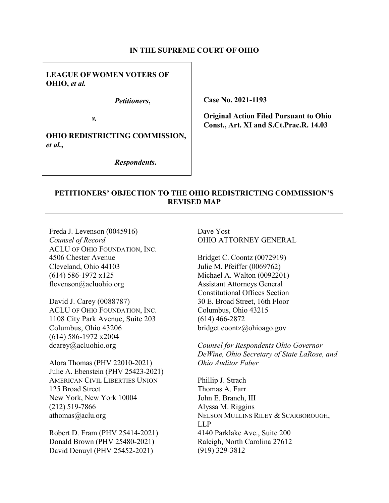### **IN THE SUPREME COURT OF OHIO**

## **LEAGUE OF WOMEN VOTERS OF OHIO,** *et al.*

*Petitioners***,**

*v.* 

**OHIO REDISTRICTING COMMISSION,**  *et al.***,**

*Respondents***.**

**Case No. 2021-1193**

**Original Action Filed Pursuant to Ohio Const., Art. XI and S.Ct.Prac.R. 14.03**

## **PETITIONERS' OBJECTION TO THE OHIO REDISTRICTING COMMISSION'S REVISED MAP**

Freda J. Levenson (0045916) *Counsel of Record*  ACLU OF OHIO FOUNDATION, INC. 4506 Chester Avenue Cleveland, Ohio 44103 (614) 586-1972 x125 flevenson@acluohio.org

David J. Carey (0088787) ACLU OF OHIO FOUNDATION, INC. 1108 City Park Avenue, Suite 203 Columbus, Ohio 43206 (614) 586-1972 x2004 dcarey@acluohio.org

Alora Thomas (PHV 22010-2021) Julie A. Ebenstein (PHV 25423-2021) AMERICAN CIVIL LIBERTIES UNION 125 Broad Street New York, New York 10004 (212) 519-7866 athomas@aclu.org

Robert D. Fram (PHV 25414-2021) Donald Brown (PHV 25480-2021) David Denuyl (PHV 25452-2021)

Dave Yost OHIO ATTORNEY GENERAL

Bridget C. Coontz (0072919) Julie M. Pfeiffer (0069762) Michael A. Walton (0092201) Assistant Attorneys General Constitutional Offices Section 30 E. Broad Street, 16th Floor Columbus, Ohio 43215 (614) 466-2872 bridget.coontz@ohioago.gov

*Counsel for Respondents Ohio Governor DeWine, Ohio Secretary of State LaRose, and Ohio Auditor Faber* 

Phillip J. Strach Thomas A. Farr John E. Branch, III Alyssa M. Riggins NELSON MULLINS RILEY & SCARBOROUGH, LLP 4140 Parklake Ave., Suite 200 Raleigh, North Carolina 27612 (919) 329-3812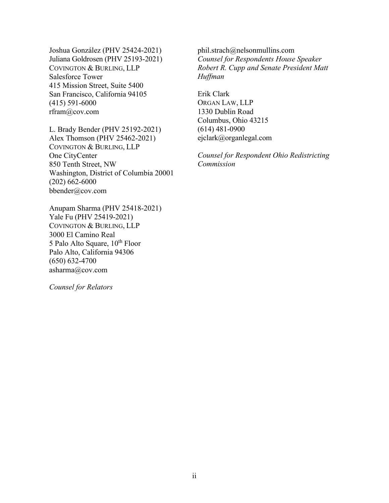Joshua González (PHV 25424-2021) Juliana Goldrosen (PHV 25193-2021) COVINGTON & BURLING, LLP Salesforce Tower 415 Mission Street, Suite 5400 San Francisco, California 94105 (415) 591-6000 rfram@cov.com

L. Brady Bender (PHV 25192-2021) Alex Thomson (PHV 25462-2021) COVINGTON & BURLING, LLP One CityCenter 850 Tenth Street, NW Washington, District of Columbia 20001 (202) 662-6000 bbender@cov.com

Anupam Sharma (PHV 25418-2021) Yale Fu (PHV 25419-2021) COVINGTON & BURLING, LLP 3000 El Camino Real 5 Palo Alto Square, 10<sup>th</sup> Floor Palo Alto, California 94306 (650) 632-4700 asharma@cov.com

*Counsel for Relators* 

phil.strach@nelsonmullins.com *Counsel for Respondents House Speaker Robert R. Cupp and Senate President Matt Huffman* 

Erik Clark ORGAN LAW, LLP 1330 Dublin Road Columbus, Ohio 43215 (614) 481-0900 ejclark@organlegal.com

*Counsel for Respondent Ohio Redistricting Commission*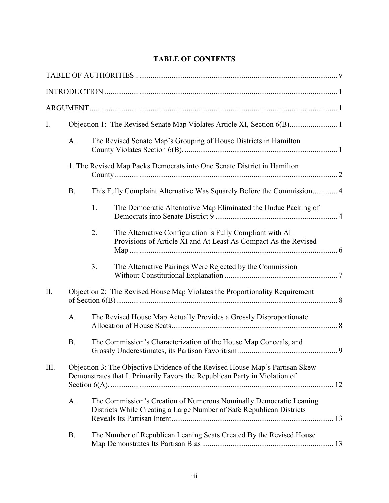# **TABLE OF CONTENTS**

| I.   |           |                                                                                                                                            |                                                                                                                                                            |  |  |  |
|------|-----------|--------------------------------------------------------------------------------------------------------------------------------------------|------------------------------------------------------------------------------------------------------------------------------------------------------------|--|--|--|
|      | A.        | The Revised Senate Map's Grouping of House Districts in Hamilton                                                                           |                                                                                                                                                            |  |  |  |
|      |           | 1. The Revised Map Packs Democrats into One Senate District in Hamilton                                                                    |                                                                                                                                                            |  |  |  |
|      | <b>B.</b> |                                                                                                                                            | This Fully Complaint Alternative Was Squarely Before the Commission 4                                                                                      |  |  |  |
|      |           | 1.                                                                                                                                         | The Democratic Alternative Map Eliminated the Undue Packing of                                                                                             |  |  |  |
|      |           | 2.                                                                                                                                         | The Alternative Configuration is Fully Compliant with All<br>Provisions of Article XI and At Least As Compact As the Revised                               |  |  |  |
|      |           | 3.                                                                                                                                         | The Alternative Pairings Were Rejected by the Commission                                                                                                   |  |  |  |
| II.  |           |                                                                                                                                            | Objection 2: The Revised House Map Violates the Proportionality Requirement                                                                                |  |  |  |
|      | A.        | The Revised House Map Actually Provides a Grossly Disproportionate                                                                         |                                                                                                                                                            |  |  |  |
|      | <b>B.</b> | The Commission's Characterization of the House Map Conceals, and                                                                           |                                                                                                                                                            |  |  |  |
| III. |           |                                                                                                                                            | Objection 3: The Objective Evidence of the Revised House Map's Partisan Skew<br>Demonstrates that It Primarily Favors the Republican Party in Violation of |  |  |  |
|      | A.        | The Commission's Creation of Numerous Nominally Democratic Leaning<br>Districts While Creating a Large Number of Safe Republican Districts |                                                                                                                                                            |  |  |  |
|      | <b>B.</b> |                                                                                                                                            | The Number of Republican Leaning Seats Created By the Revised House                                                                                        |  |  |  |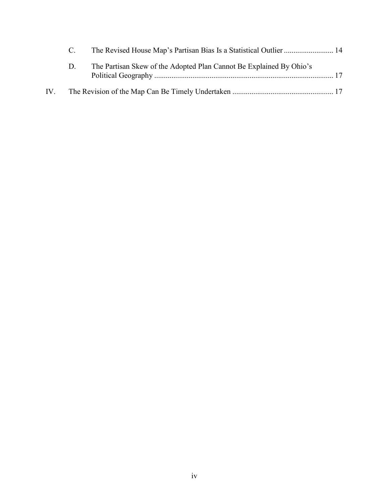| D. | The Partisan Skew of the Adopted Plan Cannot Be Explained By Ohio's |
|----|---------------------------------------------------------------------|
|    |                                                                     |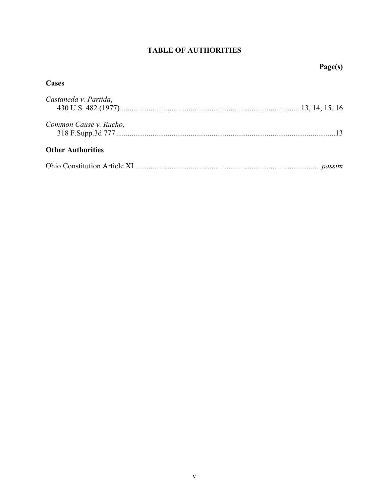# **TABLE OF AUTHORITIES**

# **Page(s)**

# **Cases**

| Castaneda v. Partida,    |  |
|--------------------------|--|
| Common Cause v. Rucho,   |  |
| <b>Other Authorities</b> |  |

|--|--|--|--|--|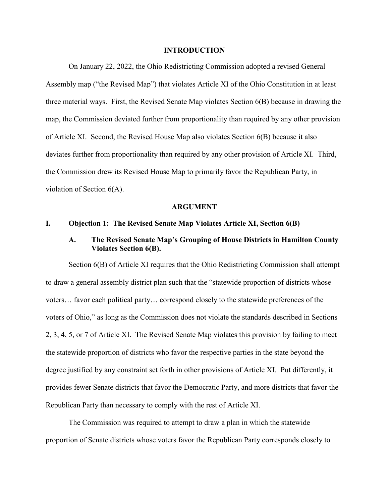#### **INTRODUCTION**

On January 22, 2022, the Ohio Redistricting Commission adopted a revised General Assembly map ("the Revised Map") that violates Article XI of the Ohio Constitution in at least three material ways. First, the Revised Senate Map violates Section 6(B) because in drawing the map, the Commission deviated further from proportionality than required by any other provision of Article XI. Second, the Revised House Map also violates Section 6(B) because it also deviates further from proportionality than required by any other provision of Article XI. Third, the Commission drew its Revised House Map to primarily favor the Republican Party, in violation of Section 6(A).

#### **ARGUMENT**

#### **I. Objection 1: The Revised Senate Map Violates Article XI, Section 6(B)**

# **A. The Revised Senate Map's Grouping of House Districts in Hamilton County Violates Section 6(B).**

Section 6(B) of Article XI requires that the Ohio Redistricting Commission shall attempt to draw a general assembly district plan such that the "statewide proportion of districts whose voters… favor each political party… correspond closely to the statewide preferences of the voters of Ohio," as long as the Commission does not violate the standards described in Sections 2, 3, 4, 5, or 7 of Article XI. The Revised Senate Map violates this provision by failing to meet the statewide proportion of districts who favor the respective parties in the state beyond the degree justified by any constraint set forth in other provisions of Article XI. Put differently, it provides fewer Senate districts that favor the Democratic Party, and more districts that favor the Republican Party than necessary to comply with the rest of Article XI.

The Commission was required to attempt to draw a plan in which the statewide proportion of Senate districts whose voters favor the Republican Party corresponds closely to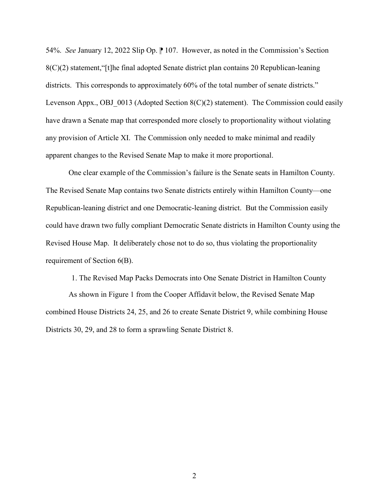54%. *See* January 12, 2022 Slip Op. <sup>107</sup>. However, as noted in the Commission's Section 8(C)(2) statement,"[t]he final adopted Senate district plan contains 20 Republican-leaning districts. This corresponds to approximately 60% of the total number of senate districts." Levenson Appx., OBJ  $\,0013$  (Adopted Section 8(C)(2) statement). The Commission could easily have drawn a Senate map that corresponded more closely to proportionality without violating any provision of Article XI. The Commission only needed to make minimal and readily apparent changes to the Revised Senate Map to make it more proportional.

One clear example of the Commission's failure is the Senate seats in Hamilton County. The Revised Senate Map contains two Senate districts entirely within Hamilton County—one Republican-leaning district and one Democratic-leaning district. But the Commission easily could have drawn two fully compliant Democratic Senate districts in Hamilton County using the Revised House Map. It deliberately chose not to do so, thus violating the proportionality requirement of Section 6(B).

1. The Revised Map Packs Democrats into One Senate District in Hamilton County As shown in Figure 1 from the Cooper Affidavit below, the Revised Senate Map combined House Districts 24, 25, and 26 to create Senate District 9, while combining House Districts 30, 29, and 28 to form a sprawling Senate District 8.

2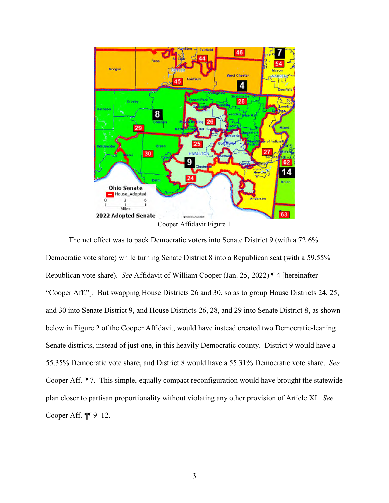

The net effect was to pack Democratic voters into Senate District 9 (with a 72.6% Democratic vote share) while turning Senate District 8 into a Republican seat (with a 59.55% Republican vote share). *See* Affidavit of William Cooper (Jan. 25, 2022) ¶ 4 [hereinafter "Cooper Aff."]. But swapping House Districts 26 and 30, so as to group House Districts 24, 25, and 30 into Senate District 9, and House Districts 26, 28, and 29 into Senate District 8, as shown below in Figure 2 of the Cooper Affidavit, would have instead created two Democratic-leaning Senate districts, instead of just one, in this heavily Democratic county. District 9 would have a 55.35% Democratic vote share, and District 8 would have a 55.31% Democratic vote share. *See* Cooper Aff. <sup>1</sup> 7. This simple, equally compact reconfiguration would have brought the statewide plan closer to partisan proportionality without violating any other provision of Article XI. *See*  Cooper Aff. ¶¶ 9–12.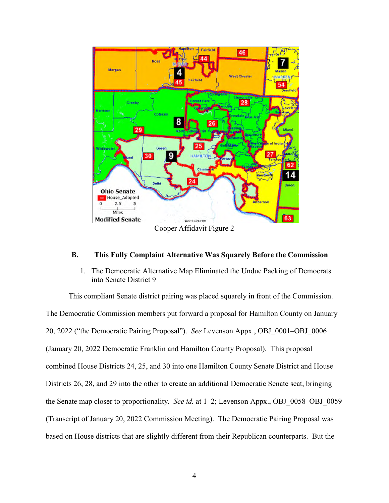

## **B. This Fully Complaint Alternative Was Squarely Before the Commission**

1. The Democratic Alternative Map Eliminated the Undue Packing of Democrats into Senate District 9

This compliant Senate district pairing was placed squarely in front of the Commission. The Democratic Commission members put forward a proposal for Hamilton County on January 20, 2022 ("the Democratic Pairing Proposal"). *See* Levenson Appx., OBJ\_0001–OBJ\_0006 (January 20, 2022 Democratic Franklin and Hamilton County Proposal). This proposal combined House Districts 24, 25, and 30 into one Hamilton County Senate District and House Districts 26, 28, and 29 into the other to create an additional Democratic Senate seat, bringing the Senate map closer to proportionality. *See id.* at 1–2; Levenson Appx., OBJ\_0058–OBJ\_0059 (Transcript of January 20, 2022 Commission Meeting). The Democratic Pairing Proposal was based on House districts that are slightly different from their Republican counterparts. But the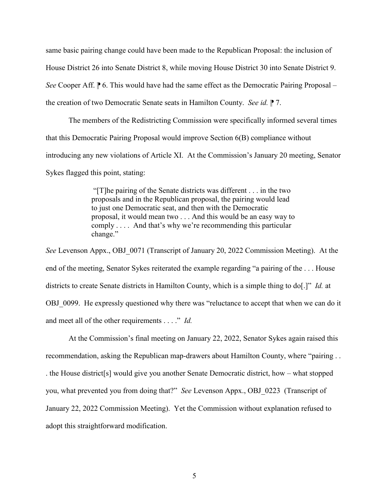same basic pairing change could have been made to the Republican Proposal: the inclusion of House District 26 into Senate District 8, while moving House District 30 into Senate District 9. *See* Cooper Aff.  $\uparrow$  6. This would have had the same effect as the Democratic Pairing Proposal – the creation of two Democratic Senate seats in Hamilton County. *See id.* **| 7.** The *n* 

The members of the Redistricting Commission were specifically informed several times that this Democratic Pairing Proposal would improve Section 6(B) compliance without introducing any new violations of Article XI. At the Commission's January 20 meeting, Senator Sykes flagged this point, stating:

> "[T]he pairing of the Senate districts was different . . . in the two proposals and in the Republican proposal, the pairing would lead to just one Democratic seat, and then with the Democratic proposal, it would mean two . . . And this would be an easy way to comply . . . . And that's why we're recommending this particular change."

*See* Levenson Appx., OBJ\_0071 (Transcript of January 20, 2022 Commission Meeting). At the end of the meeting, Senator Sykes reiterated the example regarding "a pairing of the . . . House districts to create Senate districts in Hamilton County, which is a simple thing to do[.]" *Id.* at OBJ 0099. He expressly questioned why there was "reluctance to accept that when we can do it and meet all of the other requirements . . . ." *Id.*

At the Commission's final meeting on January 22, 2022, Senator Sykes again raised this recommendation, asking the Republican map-drawers about Hamilton County, where "pairing . . . the House district[s] would give you another Senate Democratic district, how – what stopped you, what prevented you from doing that?" *See* Levenson Appx., OBJ\_0223 (Transcript of January 22, 2022 Commission Meeting). Yet the Commission without explanation refused to adopt this straightforward modification.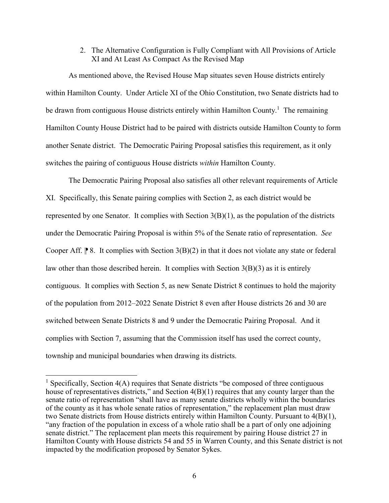## 2. The Alternative Configuration is Fully Compliant with All Provisions of Article XI and At Least As Compact As the Revised Map

As mentioned above, the Revised House Map situates seven House districts entirely within Hamilton County. Under Article XI of the Ohio Constitution, two Senate districts had to be drawn from contiguous House districts entirely within Hamilton County.<sup>1</sup> The remaining Hamilton County House District had to be paired with districts outside Hamilton County to form another Senate district. The Democratic Pairing Proposal satisfies this requirement, as it only switches the pairing of contiguous House districts *within* Hamilton County.

The Democratic Pairing Proposal also satisfies all other relevant requirements of Article XI. Specifically, this Senate pairing complies with Section 2, as each district would be represented by one Senator. It complies with Section  $3(B)(1)$ , as the population of the districts under the Democratic Pairing Proposal is within 5% of the Senate ratio of representation. *See*  Cooper Aff.  $\mathbb{P}8$ . It complies with Section 3(B)(2) in that it does not violate any state or federal law other than those described herein. It complies with Section  $3(B)(3)$  as it is entirely contiguous. It complies with Section 5, as new Senate District 8 continues to hold the majority of the population from 2012–2022 Senate District 8 even after House districts 26 and 30 are switched between Senate Districts 8 and 9 under the Democratic Pairing Proposal. And it complies with Section 7, assuming that the Commission itself has used the correct county, township and municipal boundaries when drawing its districts.

 $\overline{a}$ 

<sup>&</sup>lt;sup>1</sup> Specifically, Section  $4(A)$  requires that Senate districts "be composed of three contiguous house of representatives districts," and Section 4(B)(1) requires that any county larger than the senate ratio of representation "shall have as many senate districts wholly within the boundaries of the county as it has whole senate ratios of representation," the replacement plan must draw two Senate districts from House districts entirely within Hamilton County. Pursuant to 4(B)(1), "any fraction of the population in excess of a whole ratio shall be a part of only one adjoining senate district." The replacement plan meets this requirement by pairing House district 27 in Hamilton County with House districts 54 and 55 in Warren County, and this Senate district is not impacted by the modification proposed by Senator Sykes.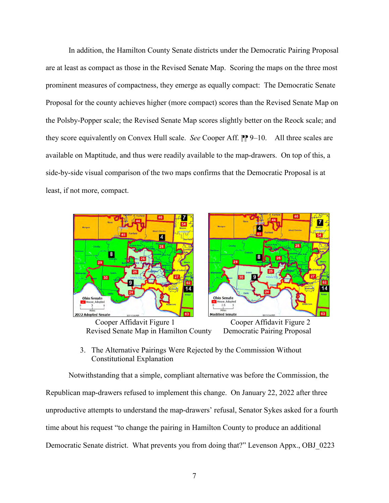In addition, the Hamilton County Senate districts under the Democratic Pairing Proposal are at least as compact as those in the Revised Senate Map. Scoring the maps on the three most prominent measures of compactness, they emerge as equally compact: The Democratic Senate Proposal for the county achieves higher (more compact) scores than the Revised Senate Map on the Polsby-Popper scale; the Revised Senate Map scores slightly better on the Reock scale; and they score equivalently on Convex Hull scale. *See* Cooper Aff. <sup>1</sup> 9–10. All three scales are available on Maptitude, and thus were readily available to the map-drawers. On top of this, a side-by-side visual comparison of the two maps confirms that the Democratic Proposal is at least, if not more, compact.



Revised Senate Map in Hamilton County Democratic Pairing Proposal

3. The Alternative Pairings Were Rejected by the Commission Without Constitutional Explanation

Notwithstanding that a simple, compliant alternative was before the Commission, the Republican map-drawers refused to implement this change. On January 22, 2022 after three unproductive attempts to understand the map-drawers' refusal, Senator Sykes asked for a fourth time about his request "to change the pairing in Hamilton County to produce an additional Democratic Senate district. What prevents you from doing that?" Levenson Appx., OBJ\_0223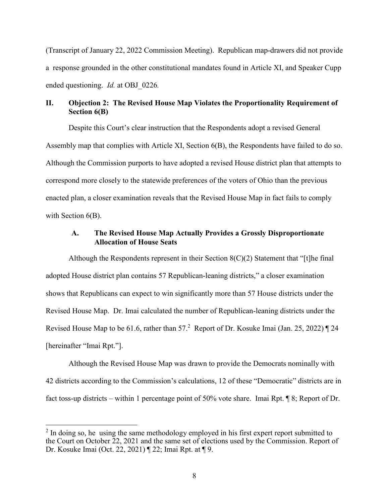(Transcript of January 22, 2022 Commission Meeting).Republican map-drawers did not provide a response grounded in the other constitutional mandates found in Article XI, and Speaker Cupp ended questioning. *Id.* at OBJ\_0226*.*

# **II. Objection 2: The Revised House Map Violates the Proportionality Requirement of Section 6(B)**

Despite this Court's clear instruction that the Respondents adopt a revised General Assembly map that complies with Article XI, Section 6(B), the Respondents have failed to do so. Although the Commission purports to have adopted a revised House district plan that attempts to correspond more closely to the statewide preferences of the voters of Ohio than the previous enacted plan, a closer examination reveals that the Revised House Map in fact fails to comply with Section  $6(B)$ .

# **A. The Revised House Map Actually Provides a Grossly Disproportionate Allocation of House Seats**

Although the Respondents represent in their Section 8(C)(2) Statement that "[t]he final adopted House district plan contains 57 Republican-leaning districts," a closer examination shows that Republicans can expect to win significantly more than 57 House districts under the Revised House Map. Dr. Imai calculated the number of Republican-leaning districts under the Revised House Map to be 61.6, rather than  $57<sup>2</sup>$  Report of Dr. Kosuke Imai (Jan. 25, 2022)  $\P$  24 [hereinafter "Imai Rpt."].

Although the Revised House Map was drawn to provide the Democrats nominally with 42 districts according to the Commission's calculations, 12 of these "Democratic" districts are in fact toss-up districts – within 1 percentage point of 50% vote share. Imai Rpt. ¶ 8; Report of Dr.

 $\overline{a}$ 

 $2$  In doing so, he using the same methodology employed in his first expert report submitted to the Court on October 22, 2021 and the same set of elections used by the Commission. Report of Dr. Kosuke Imai (Oct. 22, 2021) ¶ 22; Imai Rpt. at ¶ 9.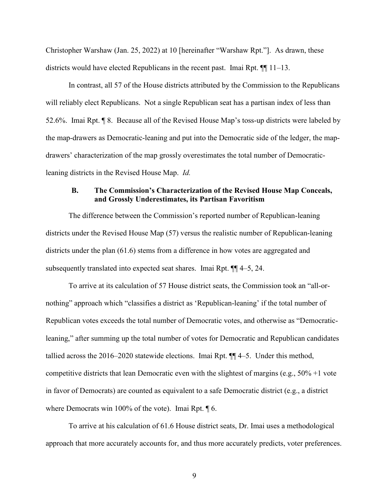Christopher Warshaw (Jan. 25, 2022) at 10 [hereinafter "Warshaw Rpt."]. As drawn, these districts would have elected Republicans in the recent past. Imai Rpt. ¶¶ 11–13.

In contrast, all 57 of the House districts attributed by the Commission to the Republicans will reliably elect Republicans. Not a single Republican seat has a partisan index of less than 52.6%. Imai Rpt. ¶ 8. Because all of the Revised House Map's toss-up districts were labeled by the map-drawers as Democratic-leaning and put into the Democratic side of the ledger, the mapdrawers' characterization of the map grossly overestimates the total number of Democraticleaning districts in the Revised House Map. *Id.*

## **B. The Commission's Characterization of the Revised House Map Conceals, and Grossly Underestimates, its Partisan Favoritism**

The difference between the Commission's reported number of Republican-leaning districts under the Revised House Map (57) versus the realistic number of Republican-leaning districts under the plan  $(61.6)$  stems from a difference in how votes are aggregated and subsequently translated into expected seat shares. Imai Rpt. ¶¶ 4–5, 24.

To arrive at its calculation of 57 House district seats, the Commission took an "all-ornothing" approach which "classifies a district as 'Republican-leaning' if the total number of Republican votes exceeds the total number of Democratic votes, and otherwise as "Democraticleaning," after summing up the total number of votes for Democratic and Republican candidates tallied across the 2016–2020 statewide elections. Imai Rpt. ¶¶ 4–5. Under this method, competitive districts that lean Democratic even with the slightest of margins (e.g., 50% +1 vote in favor of Democrats) are counted as equivalent to a safe Democratic district (e.g., a district where Democrats win 100% of the vote). Imai Rpt. ¶ 6.

To arrive at his calculation of 61.6 House district seats, Dr. Imai uses a methodological approach that more accurately accounts for, and thus more accurately predicts, voter preferences.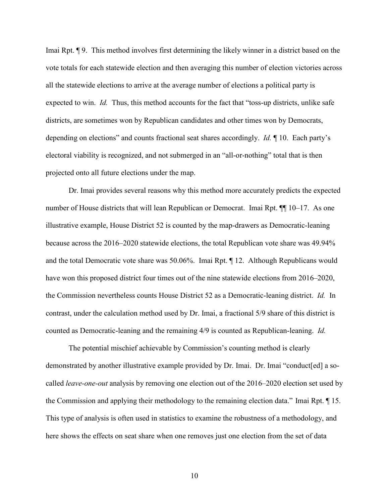Imai Rpt. ¶ 9. This method involves first determining the likely winner in a district based on the vote totals for each statewide election and then averaging this number of election victories across all the statewide elections to arrive at the average number of elections a political party is expected to win. *Id.* Thus, this method accounts for the fact that "toss-up districts, unlike safe districts, are sometimes won by Republican candidates and other times won by Democrats, depending on elections" and counts fractional seat shares accordingly. *Id.* ¶ 10. Each party's electoral viability is recognized, and not submerged in an "all-or-nothing" total that is then projected onto all future elections under the map.

Dr. Imai provides several reasons why this method more accurately predicts the expected number of House districts that will lean Republican or Democrat. Imai Rpt. ¶¶ 10–17. As one illustrative example, House District 52 is counted by the map-drawers as Democratic-leaning because across the 2016–2020 statewide elections, the total Republican vote share was 49.94% and the total Democratic vote share was 50.06%. Imai Rpt. ¶ 12. Although Republicans would have won this proposed district four times out of the nine statewide elections from 2016–2020, the Commission nevertheless counts House District 52 as a Democratic-leaning district. *Id.* In contrast, under the calculation method used by Dr. Imai, a fractional 5/9 share of this district is counted as Democratic-leaning and the remaining 4/9 is counted as Republican-leaning. *Id.*

The potential mischief achievable by Commission's counting method is clearly demonstrated by another illustrative example provided by Dr. Imai. Dr. Imai "conduct[ed] a socalled *leave-one-out* analysis by removing one election out of the 2016–2020 election set used by the Commission and applying their methodology to the remaining election data." Imai Rpt. ¶ 15. This type of analysis is often used in statistics to examine the robustness of a methodology, and here shows the effects on seat share when one removes just one election from the set of data

10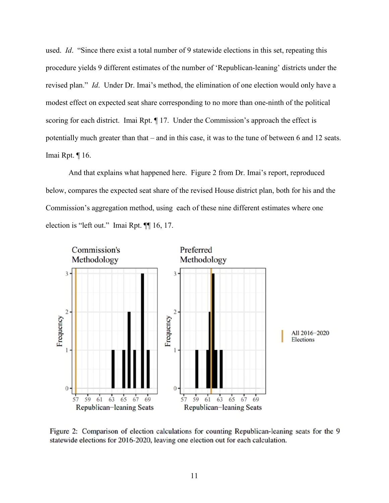used. *Id*. "Since there exist a total number of 9 statewide elections in this set, repeating this procedure yields 9 different estimates of the number of 'Republican-leaning' districts under the revised plan." *Id*. Under Dr. Imai's method, the elimination of one election would only have a modest effect on expected seat share corresponding to no more than one-ninth of the political scoring for each district. Imai Rpt.  $\P$  17. Under the Commission's approach the effect is potentially much greater than that – and in this case, it was to the tune of between 6 and 12 seats. Imai Rpt. ¶ 16.

And that explains what happened here. Figure 2 from Dr. Imai's report, reproduced below, compares the expected seat share of the revised House district plan, both for his and the Commission's aggregation method, using each of these nine different estimates where one election is "left out." Imai Rpt. ¶¶ 16, 17.



Figure 2: Comparison of election calculations for counting Republican-leaning seats for the 9 statewide elections for 2016-2020, leaving one election out for each calculation.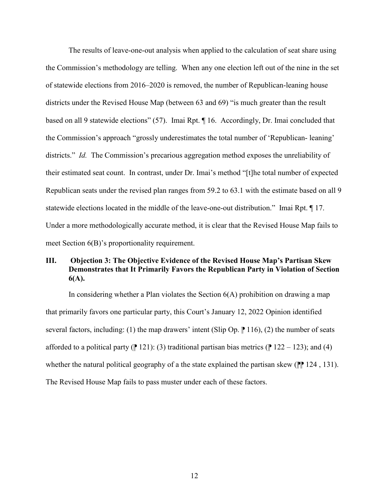The results of leave-one-out analysis when applied to the calculation of seat share using the Commission's methodology are telling. When any one election left out of the nine in the set of statewide elections from 2016–2020 is removed, the number of Republican-leaning house districts under the Revised House Map (between 63 and 69) "is much greater than the result based on all 9 statewide elections" (57). Imai Rpt. ¶ 16. Accordingly, Dr. Imai concluded that the Commission's approach "grossly underestimates the total number of 'Republican- leaning' districts." *Id.* The Commission's precarious aggregation method exposes the unreliability of their estimated seat count. In contrast, under Dr. Imai's method "[t]he total number of expected Republican seats under the revised plan ranges from 59.2 to 63.1 with the estimate based on all 9 statewide elections located in the middle of the leave-one-out distribution." Imai Rpt. ¶ 17. Under a more methodologically accurate method, it is clear that the Revised House Map fails to meet Section 6(B)'s proportionality requirement.

# **III. Objection 3: The Objective Evidence of the Revised House Map's Partisan Skew Demonstrates that It Primarily Favors the Republican Party in Violation of Section 6(A).**

In considering whether a Plan violates the Section 6(A) prohibition on drawing a map that primarily favors one particular party, this Court's January 12, 2022 Opinion identified several factors, including: (1) the map drawers' intent (Slip Op.  $\parallel$  116), (2) the number of seats afforded to a political party ( $\parallel$  121): (3) traditional partisan bias metrics ( $\parallel$  122 – 123); and (4) whether the natural political geography of a the state explained the partisan skew  $(\mathbb{P} \mid 124, 131)$ . The Revised House Map fails to pass muster under each of these factors.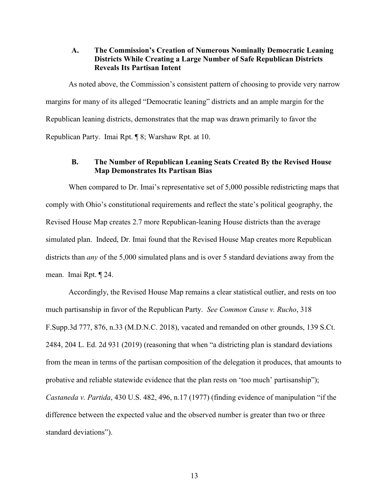# **A. The Commission's Creation of Numerous Nominally Democratic Leaning Districts While Creating a Large Number of Safe Republican Districts Reveals Its Partisan Intent**

As noted above, the Commission's consistent pattern of choosing to provide very narrow margins for many of its alleged "Democratic leaning" districts and an ample margin for the Republican leaning districts, demonstrates that the map was drawn primarily to favor the Republican Party. Imai Rpt. ¶ 8; Warshaw Rpt. at 10.

# **B. The Number of Republican Leaning Seats Created By the Revised House Map Demonstrates Its Partisan Bias**

When compared to Dr. Imai's representative set of 5,000 possible redistricting maps that comply with Ohio's constitutional requirements and reflect the state's political geography, the Revised House Map creates 2.7 more Republican-leaning House districts than the average simulated plan. Indeed, Dr. Imai found that the Revised House Map creates more Republican districts than *any* of the 5,000 simulated plans and is over 5 standard deviations away from the mean. Imai Rpt. ¶ 24.

Accordingly, the Revised House Map remains a clear statistical outlier, and rests on too much partisanship in favor of the Republican Party. *See Common Cause v. Rucho*, 318 F.Supp.3d 777, 876, n.33 (M.D.N.C. 2018), vacated and remanded on other grounds, 139 S.Ct. 2484, 204 L. Ed. 2d 931 (2019) (reasoning that when "a districting plan is standard deviations from the mean in terms of the partisan composition of the delegation it produces, that amounts to probative and reliable statewide evidence that the plan rests on 'too much' partisanship"); *Castaneda v. Partida*, 430 U.S. 482, 496, n.17 (1977) (finding evidence of manipulation "if the difference between the expected value and the observed number is greater than two or three standard deviations").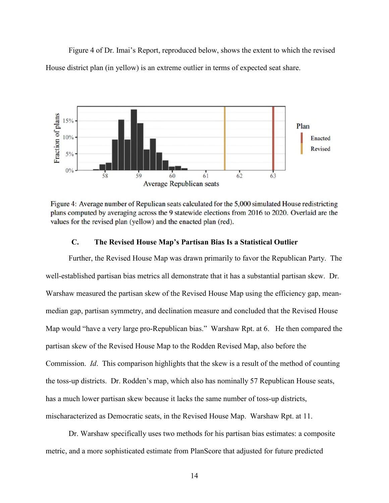Figure 4 of Dr. Imai's Report, reproduced below, shows the extent to which the revised House district plan (in yellow) is an extreme outlier in terms of expected seat share.



Figure 4: Average number of Repulican seats calculated for the 5,000 simulated House redistricting plans computed by averaging across the 9 statewide elections from 2016 to 2020. Overlaid are the values for the revised plan (yellow) and the enacted plan (red).

# **C. The Revised House Map's Partisan Bias Is a Statistical Outlier**

Further, the Revised House Map was drawn primarily to favor the Republican Party. The well-established partisan bias metrics all demonstrate that it has a substantial partisan skew. Dr. Warshaw measured the partisan skew of the Revised House Map using the efficiency gap, meanmedian gap, partisan symmetry, and declination measure and concluded that the Revised House Map would "have a very large pro-Republican bias." Warshaw Rpt. at 6. He then compared the partisan skew of the Revised House Map to the Rodden Revised Map, also before the Commission. *Id*. This comparison highlights that the skew is a result of the method of counting the toss-up districts. Dr. Rodden's map, which also has nominally 57 Republican House seats, has a much lower partisan skew because it lacks the same number of toss-up districts, mischaracterized as Democratic seats, in the Revised House Map. Warshaw Rpt. at 11.

Dr. Warshaw specifically uses two methods for his partisan bias estimates: a composite metric, and a more sophisticated estimate from PlanScore that adjusted for future predicted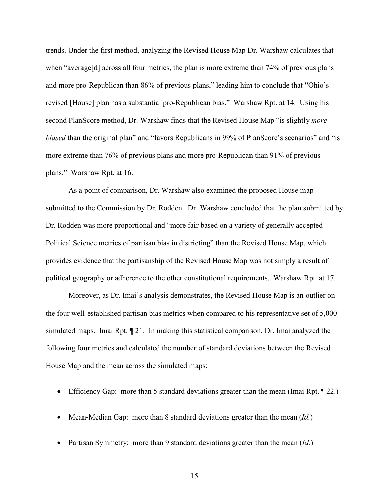trends. Under the first method, analyzing the Revised House Map Dr. Warshaw calculates that when "average<sup>[d]</sup> across all four metrics, the plan is more extreme than 74% of previous plans and more pro-Republican than 86% of previous plans," leading him to conclude that "Ohio's revised [House] plan has a substantial pro-Republican bias." Warshaw Rpt. at 14. Using his second PlanScore method, Dr. Warshaw finds that the Revised House Map "is slightly *more biased* than the original plan" and "favors Republicans in 99% of PlanScore's scenarios" and "is more extreme than 76% of previous plans and more pro-Republican than 91% of previous plans." Warshaw Rpt. at 16.

As a point of comparison, Dr. Warshaw also examined the proposed House map submitted to the Commission by Dr. Rodden. Dr. Warshaw concluded that the plan submitted by Dr. Rodden was more proportional and "more fair based on a variety of generally accepted Political Science metrics of partisan bias in districting" than the Revised House Map, which provides evidence that the partisanship of the Revised House Map was not simply a result of political geography or adherence to the other constitutional requirements. Warshaw Rpt. at 17.

Moreover, as Dr. Imai's analysis demonstrates, the Revised House Map is an outlier on the four well-established partisan bias metrics when compared to his representative set of 5,000 simulated maps. Imai Rpt. ¶ 21. In making this statistical comparison, Dr. Imai analyzed the following four metrics and calculated the number of standard deviations between the Revised House Map and the mean across the simulated maps:

- Efficiency Gap: more than 5 standard deviations greater than the mean (Imai Rpt. ¶ 22.)
- Mean-Median Gap: more than 8 standard deviations greater than the mean (*Id.*)
- Partisan Symmetry: more than 9 standard deviations greater than the mean (*Id.*)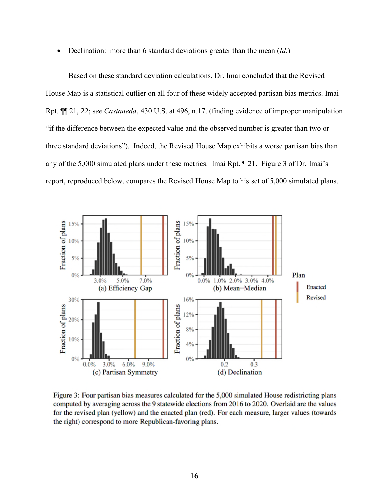Declination: more than 6 standard deviations greater than the mean (*Id.*)

Based on these standard deviation calculations, Dr. Imai concluded that the Revised House Map is a statistical outlier on all four of these widely accepted partisan bias metrics. Imai Rpt. ¶¶ 21, 22; s*ee Castaneda*, 430 U.S. at 496, n.17. (finding evidence of improper manipulation "if the difference between the expected value and the observed number is greater than two or three standard deviations"). Indeed, the Revised House Map exhibits a worse partisan bias than any of the 5,000 simulated plans under these metrics. Imai Rpt. ¶ 21. Figure 3 of Dr. Imai's report, reproduced below, compares the Revised House Map to his set of 5,000 simulated plans.



Figure 3: Four partisan bias measures calculated for the 5,000 simulated House redistricting plans computed by averaging across the 9 statewide elections from 2016 to 2020. Overlaid are the values for the revised plan (yellow) and the enacted plan (red). For each measure, larger values (towards the right) correspond to more Republican-favoring plans.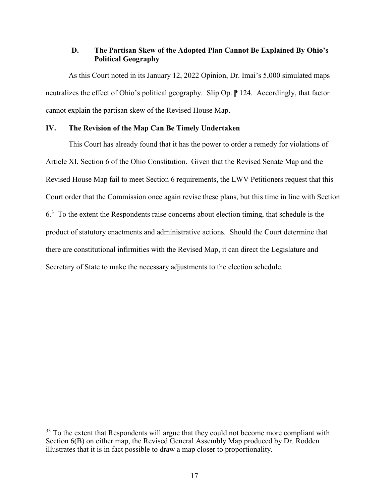# **D. The Partisan Skew of the Adopted Plan Cannot Be Explained By Ohio's Political Geography**

As this Court noted in its January 12, 2022 Opinion, Dr. Imai's 5,000 simulated maps neutralizes the effect of Ohio's political geography. Slip Op. <sup>124</sup>. Accordingly, that factor cannot explain the partisan skew of the Revised House Map.

# **IV. The Revision of the Map Can Be Timely Undertaken**

This Court has already found that it has the power to order a remedy for violations of Article XI, Section 6 of the Ohio Constitution. Given that the Revised Senate Map and the Revised House Map fail to meet Section 6 requirements, the LWV Petitioners request that this Court order that the Commission once again revise these plans, but this time in line with Section  $6<sup>3</sup>$  To the extent the Respondents raise concerns about election timing, that schedule is the product of statutory enactments and administrative actions. Should the Court determine that there are constitutional infirmities with the Revised Map, it can direct the Legislature and Secretary of State to make the necessary adjustments to the election schedule.

 $\overline{a}$ 

<sup>&</sup>lt;sup>33</sup> To the extent that Respondents will argue that they could not become more compliant with Section 6(B) on either map, the Revised General Assembly Map produced by Dr. Rodden illustrates that it is in fact possible to draw a map closer to proportionality.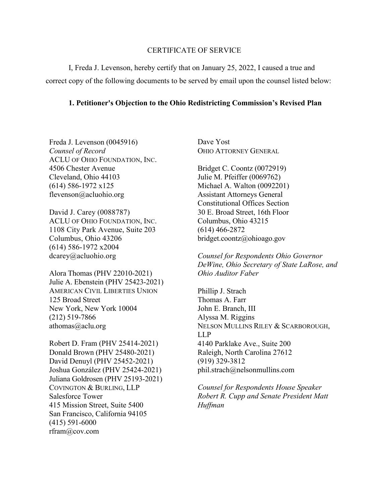### CERTIFICATE OF SERVICE

I, Freda J. Levenson, hereby certify that on January 25, 2022, I caused a true and correct copy of the following documents to be served by email upon the counsel listed below:

## **1. Petitioner's Objection to the Ohio Redistricting Commission's Revised Plan**

Freda J. Levenson (0045916) *Counsel of Record*  ACLU OF OHIO FOUNDATION, INC. 4506 Chester Avenue Cleveland, Ohio 44103 (614) 586-1972 x125 flevenson@acluohio.org

David J. Carey (0088787) ACLU OF OHIO FOUNDATION, INC. 1108 City Park Avenue, Suite 203 Columbus, Ohio 43206 (614) 586-1972 x2004 dcarey@acluohio.org

Alora Thomas (PHV 22010-2021) Julie A. Ebenstein (PHV 25423-2021) AMERICAN CIVIL LIBERTIES UNION 125 Broad Street New York, New York 10004 (212) 519-7866 athomas@aclu.org

Robert D. Fram (PHV 25414-2021) Donald Brown (PHV 25480-2021) David Denuyl (PHV 25452-2021) Joshua González (PHV 25424-2021) Juliana Goldrosen (PHV 25193-2021) COVINGTON & BURLING, LLP Salesforce Tower 415 Mission Street, Suite 5400 San Francisco, California 94105 (415) 591-6000 rfram@cov.com

Dave Yost OHIO ATTORNEY GENERAL

Bridget C. Coontz (0072919) Julie M. Pfeiffer (0069762) Michael A. Walton (0092201) Assistant Attorneys General Constitutional Offices Section 30 E. Broad Street, 16th Floor Columbus, Ohio 43215 (614) 466-2872 bridget.coontz@ohioago.gov

*Counsel for Respondents Ohio Governor DeWine, Ohio Secretary of State LaRose, and Ohio Auditor Faber* 

Phillip J. Strach Thomas A. Farr John E. Branch, III Alyssa M. Riggins NELSON MULLINS RILEY & SCARBOROUGH, LLP 4140 Parklake Ave., Suite 200 Raleigh, North Carolina 27612 (919) 329-3812 phil.strach@nelsonmullins.com

*Counsel for Respondents House Speaker Robert R. Cupp and Senate President Matt Huffman*